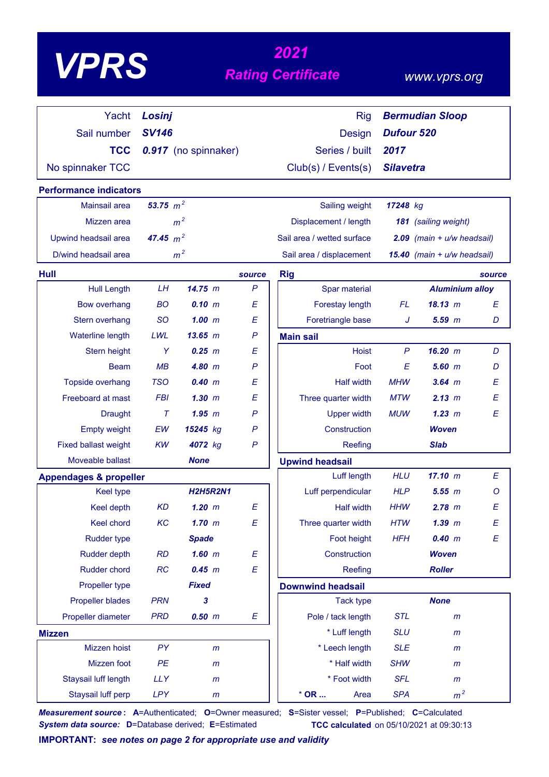|                                   |              |                      |              | 2021                       |                   |                                |                  |
|-----------------------------------|--------------|----------------------|--------------|----------------------------|-------------------|--------------------------------|------------------|
| <b>VPRS</b>                       |              |                      |              | <b>Rating Certificate</b>  |                   | www.vprs.org                   |                  |
| Yacht                             | Losinj       |                      |              | <b>Rig</b>                 |                   | <b>Bermudian Sloop</b>         |                  |
| Sail number                       | <b>SV146</b> |                      |              | Design                     | <b>Dufour 520</b> |                                |                  |
| <b>TCC</b>                        |              | 0.917 (no spinnaker) |              | Series / built             | 2017              |                                |                  |
| No spinnaker TCC                  |              |                      |              | Club(s) / Events(s)        | <b>Silavetra</b>  |                                |                  |
| <b>Performance indicators</b>     |              |                      |              |                            |                   |                                |                  |
| Mainsail area                     | 53.75 $m^2$  |                      |              | Sailing weight             | 17248 kg          |                                |                  |
| Mizzen area                       |              | m <sup>2</sup>       |              | Displacement / length      |                   | 181 (sailing weight)           |                  |
| Upwind headsail area              | 47.45 $m^2$  |                      |              | Sail area / wetted surface |                   | $2.09$ (main + $u/w$ headsail) |                  |
| D/wind headsail area              |              | m <sup>2</sup>       |              | Sail area / displacement   |                   | 15.40 (main + u/w headsail)    |                  |
| Hull                              |              |                      | source       | <b>Rig</b>                 |                   |                                | source           |
| <b>Hull Length</b>                | LH           | 14.75 m              | $\mathsf{P}$ | Spar material              |                   | <b>Aluminium alloy</b>         |                  |
| <b>Bow overhang</b>               | <b>BO</b>    | 0.10 m               | E            | Forestay length            | <b>FL</b>         | $18.13 \; m$                   | E                |
| Stern overhang                    | <b>SO</b>    | 1.00~m               | E            | Foretriangle base          | J                 | $5.59$ $m$                     | D                |
| Waterline length                  | LWL          | $13.65$ m            | $\mathsf{P}$ | <b>Main sail</b>           |                   |                                |                  |
| Stern height                      | Y            | $0.25$ $m$           | Ε            | <b>Hoist</b>               | $\mathsf{P}$      | 16.20 m                        | D                |
| <b>Beam</b>                       | MB           | 4.80 m               | $\mathsf{P}$ | Foot                       | E                 | $5.60$ $m$                     | D                |
| Topside overhang                  | <b>TSO</b>   | 0.40 m               | E            | <b>Half width</b>          | <b>MHW</b>        | $3.64$ m                       | E                |
| Freeboard at mast                 | <b>FBI</b>   | $1.30$ $m$           | E            | Three quarter width        | <b>MTW</b>        | 2.13 m                         | E                |
| <b>Draught</b>                    | $\tau$       | $1.95$ $m$           | $\mathsf{P}$ | <b>Upper width</b>         | <b>MUW</b>        | 1.23~m                         | E                |
| <b>Empty weight</b>               | EW           | 15245 kg             | P            | Construction               |                   | <b>Woven</b>                   |                  |
| <b>Fixed ballast weight</b>       | <b>KW</b>    | 4072 kg              | $\mathsf{P}$ | Reefing                    |                   | <b>Slab</b>                    |                  |
| Moveable ballast                  |              | None                 |              | <b>Upwind headsail</b>     |                   |                                |                  |
| <b>Appendages &amp; propeller</b> |              |                      |              | Luff length                | <b>HLU</b>        | 17.10 m                        | E                |
| <b>Keel type</b>                  |              | <b>H2H5R2N1</b>      |              | Luff perpendicular         | <b>HLP</b>        | 5.55 m                         | O                |
| Keel depth                        | <b>KD</b>    | $1.20$ m             | E            | <b>Half width</b>          | <b>HHW</b>        | $2.78$ m                       | $\boldsymbol{E}$ |
| Keel chord                        | KC           | $1.70$ m             | E            | Three quarter width        | <b>HTW</b>        | $1.39$ $m$                     | $\boldsymbol{E}$ |
| <b>Rudder type</b>                |              | <b>Spade</b>         |              | Foot height                | <b>HFH</b>        | 0.40 m                         | $\boldsymbol{E}$ |
| Rudder depth                      | <b>RD</b>    | $1.60$ m             | E            | Construction               |                   | <b>Woven</b>                   |                  |
| <b>Rudder chord</b>               | RC           | 0.45 m               | E            | Reefing                    |                   | <b>Roller</b>                  |                  |
| Propeller type                    |              | <b>Fixed</b>         |              | <b>Downwind headsail</b>   |                   |                                |                  |
| <b>Propeller blades</b>           | <b>PRN</b>   | 3                    |              | <b>Tack type</b>           |                   | <b>None</b>                    |                  |
| Propeller diameter                | <b>PRD</b>   | $0.50$ $m$           | Ε            | Pole / tack length         | <b>STL</b>        | $\mathsf{m}$                   |                  |
| <b>Mizzen</b>                     |              |                      |              | * Luff length              | <b>SLU</b>        | $\mathsf{m}$                   |                  |
| Mizzen hoist                      | <b>PY</b>    | $\mathsf{m}$         |              | * Leech length             | <b>SLE</b>        | $\mathsf{m}$                   |                  |
| Mizzen foot                       | PE           | $\mathsf{m}$         |              | * Half width               | <b>SHW</b>        | m                              |                  |
| Staysail luff length              | <b>LLY</b>   | $\mathsf{m}$         |              | * Foot width               | <b>SFL</b>        | $\mathsf{m}$                   |                  |
| Staysail luff perp                | <b>LPY</b>   | m                    |              | $*$ OR<br>Area             | <b>SPA</b>        | m <sup>2</sup>                 |                  |

*Measurement source* **: A**=Authenticated; **O**=Owner measured; **S**=Sister vessel; **P**=Published; **C**=Calculated *System data source:* **D**=Database derived; **E**=Estimated **TCC calculated** on 05/10/2021 at 09:30:13

**IMPORTANT:** *see notes on page 2 for appropriate use and validity*